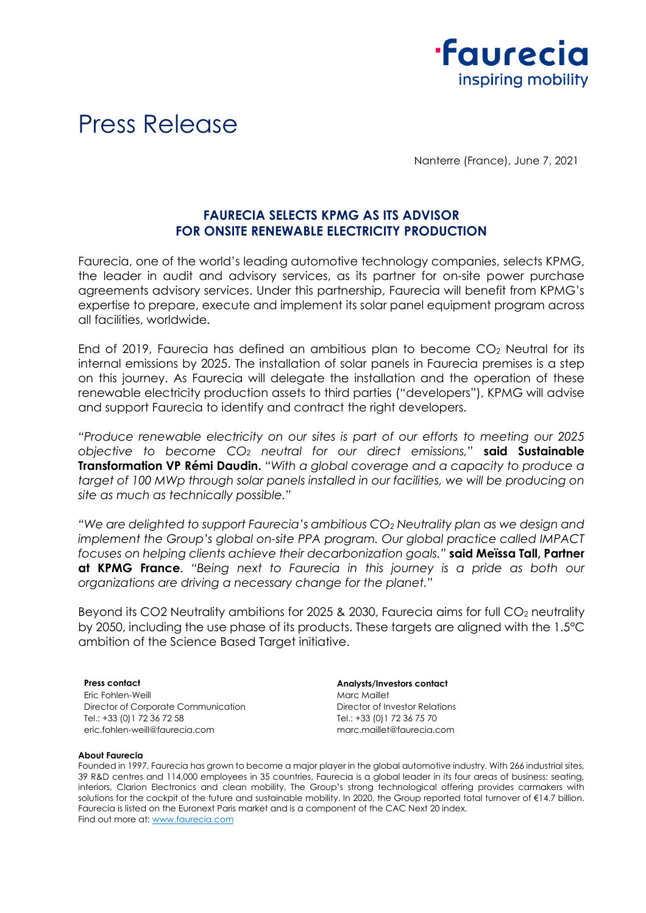

# Press Release

Nanterre (France), June 7, 2021

## **FAURECIA SELECTS KPMG AS ITS ADVISOR FOR ONSITE RENEWABLE ELECTRICITY PRODUCTION**

Faurecia, one of the world's leading automotive technology companies, selects KPMG, the leader in audit and advisory services, as its partner for on-site power purchase agreements advisory services. Under this partnership, Faurecia will benefit from KPMG's expertise to prepare, execute and implement its solar panel equipment program across all facilities, worldwide.

End of 2019, Faurecia has defined an ambitious plan to become CO<sup>2</sup> Neutral for its internal emissions by 2025. The installation of solar panels in Faurecia premises is a step on this journey. As Faurecia will delegate the installation and the operation of these renewable electricity production assets to third parties ("developers"), KPMG will advise and support Faurecia to identify and contract the right developers.

*"Produce renewable electricity on our sites is part of our efforts to meeting our 2025 objective to become CO<sup>2</sup> neutral for our direct emissions,"* **said Sustainable Transformation VP Rémi Daudin.** *"With a global coverage and a capacity to produce a target of 100 MWp through solar panels installed in our facilities, we will be producing on site as much as technically possible."*

*"We are delighted to support Faurecia's ambitious CO<sup>2</sup> Neutrality plan as we design and implement the Group's global on-site PPA program. Our global practice called IMPACT focuses on helping clients achieve their decarbonization goals."* **said Meïssa Tall, Partner at KPMG France**. *"Being next to Faurecia in this journey is a pride as both our organizations are driving a necessary change for the planet."*

Beyond its CO2 Neutrality ambitions for 2025 & 2030, Faurecia aims for full CO<sub>2</sub> neutrality by 2050, including the use phase of its products. These targets are aligned with the 1.5°C ambition of the Science Based Target initiative.

Eric Fohlen-Weill Director of Corporate Communication Tel.: +33 (0)1 72 36 72 58 [eric.fohlen-weill@faurecia.com](mailto:eric.fohlen-weill@faurecia.com)

**Press contact Analysts/Investors contact** Marc Maillet Director of Investor Relations Tel.: +33 (0)1 72 36 75 70 [marc.maillet@faurecia.com](mailto:marc.maillet@faurecia.com)

#### **About Faurecia**

Founded in 1997, Faurecia has grown to become a major player in the global automotive industry. With 266 industrial sites, 39 R&D centres and 114,000 employees in 35 countries, Faurecia is a global leader in its four areas of business: seating, interiors, Clarion Electronics and clean mobility. The Group's strong technological offering provides carmakers with solutions for the cockpit of the future and sustainable mobility. In 2020, the Group reported total turnover of €14.7 billion. Faurecia is listed on the Euronext Paris market and is a component of the CAC Next 20 index. Find out more at[: www.faurecia.com](http://www.faurecia.com/)